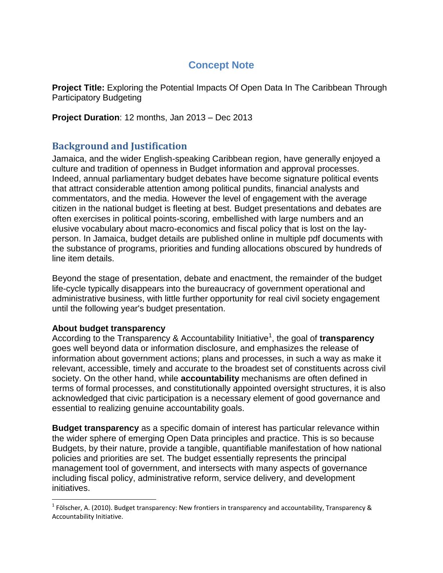# **Concept Note**

**Project Title:** Exploring the Potential Impacts Of Open Data In The Caribbean Through Participatory Budgeting

**Project Duration**: 12 months, Jan 2013 – Dec 2013

## **Background and Justification**

Jamaica, and the wider English-speaking Caribbean region, have generally enjoyed a culture and tradition of openness in Budget information and approval processes. Indeed, annual parliamentary budget debates have become signature political events that attract considerable attention among political pundits, financial analysts and commentators, and the media. However the level of engagement with the average citizen in the national budget is fleeting at best. Budget presentations and debates are often exercises in political points-scoring, embellished with large numbers and an elusive vocabulary about macro-economics and fiscal policy that is lost on the layperson. In Jamaica, budget details are published online in multiple pdf documents with the substance of programs, priorities and funding allocations obscured by hundreds of line item details.

Beyond the stage of presentation, debate and enactment, the remainder of the budget life-cycle typically disappears into the bureaucracy of government operational and administrative business, with little further opportunity for real civil society engagement until the following year's budget presentation.

#### **About budget transparency**

l

According to the Transparency & Accountability Initiative<sup>1</sup>, the goal of transparency goes well beyond data or information disclosure, and emphasizes the release of information about government actions; plans and processes, in such a way as make it relevant, accessible, timely and accurate to the broadest set of constituents across civil society. On the other hand, while **accountability** mechanisms are often defined in terms of formal processes, and constitutionally appointed oversight structures, it is also acknowledged that civic participation is a necessary element of good governance and essential to realizing genuine accountability goals.

**Budget transparency** as a specific domain of interest has particular relevance within the wider sphere of emerging Open Data principles and practice. This is so because Budgets, by their nature, provide a tangible, quantifiable manifestation of how national policies and priorities are set. The budget essentially represents the principal management tool of government, and intersects with many aspects of governance including fiscal policy, administrative reform, service delivery, and development initiatives.

<sup>&</sup>lt;sup>1</sup> Fölscher, A. (2010). Budget transparency: New frontiers in transparency and accountability, Transparency & Accountability Initiative.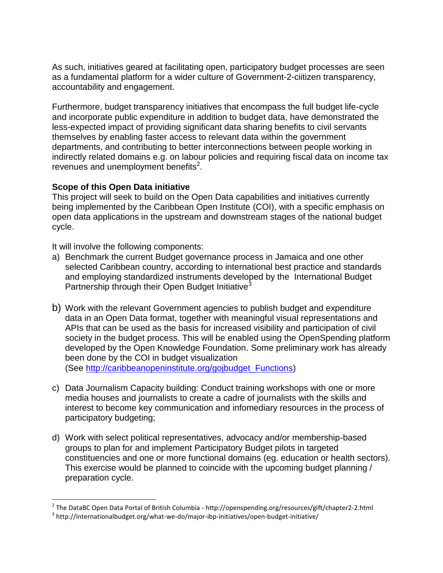As such, initiatives geared at facilitating open, participatory budget processes are seen as a fundamental platform for a wider culture of Government-2-ciitizen transparency, accountability and engagement.

Furthermore, budget transparency initiatives that encompass the full budget life-cycle and incorporate public expenditure in addition to budget data, have demonstrated the less-expected impact of providing significant data sharing benefits to civil servants themselves by enabling faster access to relevant data within the government departments, and contributing to better interconnections between people working in indirectly related domains e.g. on labour policies and requiring fiscal data on income tax revenues and unemployment benefits $2$ .

### **Scope of this Open Data initiative**

This project will seek to build on the Open Data capabilities and initiatives currently being implemented by the Caribbean Open Institute (COI), with a specific emphasis on open data applications in the upstream and downstream stages of the national budget cycle.

It will involve the following components:

l

- a) Benchmark the current Budget governance process in Jamaica and one other selected Caribbean country, according to international best practice and standards and employing standardized instruments developed by the International Budget Partnership through their Open Budget Initiative<sup>3</sup>
- b) Work with the relevant Government agencies to publish budget and expenditure data in an Open Data format, together with meaningful visual representations and APIs that can be used as the basis for increased visibility and participation of civil society in the budget process. This will be enabled using the OpenSpending platform developed by the Open Knowledge Foundation. Some preliminary work has already been done by the COI in budget visualization (See [http://caribbeanopeninstitute.org/gojbudget\\_Functions\)](http://caribbeanopeninstitute.org/gojbudget_Functions)
- c) Data Journalism Capacity building: Conduct training workshops with one or more media houses and journalists to create a cadre of journalists with the skills and interest to become key communication and infomediary resources in the process of participatory budgeting;
- d) Work with select political representatives, advocacy and/or membership-based groups to plan for and implement Participatory Budget pilots in targeted constituencies and one or more functional domains (eg. education or health sectors). This exercise would be planned to coincide with the upcoming budget planning / preparation cycle.

<sup>&</sup>lt;sup>2</sup> The DataBC Open Data Portal of British Columbia - http://openspending.org/resources/gift/chapter2-2.html

 $^3$  http://internationalbudget.org/what-we-do/major-ibp-initiatives/open-budget-initiative/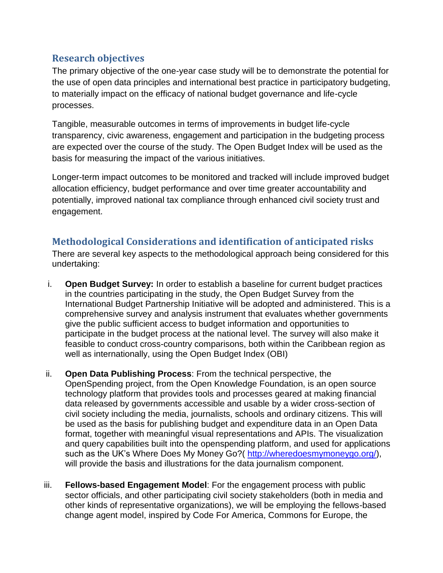## **Research objectives**

The primary objective of the one-year case study will be to demonstrate the potential for the use of open data principles and international best practice in participatory budgeting, to materially impact on the efficacy of national budget governance and life-cycle processes.

Tangible, measurable outcomes in terms of improvements in budget life-cycle transparency, civic awareness, engagement and participation in the budgeting process are expected over the course of the study. The Open Budget Index will be used as the basis for measuring the impact of the various initiatives.

Longer-term impact outcomes to be monitored and tracked will include improved budget allocation efficiency, budget performance and over time greater accountability and potentially, improved national tax compliance through enhanced civil society trust and engagement.

## **Methodological Considerations and identification of anticipated risks**

There are several key aspects to the methodological approach being considered for this undertaking:

- i. **Open Budget Survey:** In order to establish a baseline for current budget practices in the countries participating in the study, the Open Budget Survey from the International Budget Partnership Initiative will be adopted and administered. This is a comprehensive survey and analysis instrument that evaluates whether governments give the public sufficient access to budget information and opportunities to participate in the budget process at the national level. The survey will also make it feasible to conduct cross-country comparisons, both within the Caribbean region as well as internationally, using the Open Budget Index (OBI)
- ii. **Open Data Publishing Process**: From the technical perspective, the OpenSpending project, from the Open Knowledge Foundation, is an open source technology platform that provides tools and processes geared at making financial data released by governments accessible and usable by a wider cross-section of civil society including the media, journalists, schools and ordinary citizens. This will be used as the basis for publishing budget and expenditure data in an Open Data format, together with meaningful visual representations and APIs. The visualization and query capabilities built into the openspending platform, and used for applications such as the UK's Where Does My Money Go?( [http://wheredoesmymoneygo.org/\)](http://wheredoesmymoneygo.org/), will provide the basis and illustrations for the data journalism component.
- iii. **Fellows-based Engagement Model**: For the engagement process with public sector officials, and other participating civil society stakeholders (both in media and other kinds of representative organizations), we will be employing the fellows-based change agent model, inspired by Code For America, Commons for Europe, the